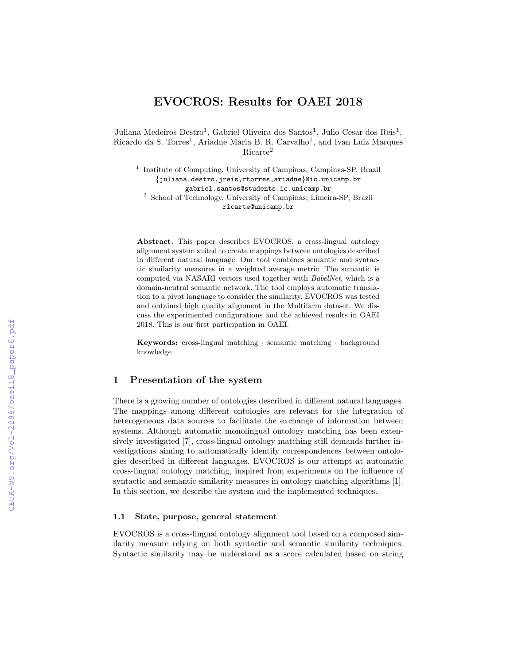# EVOCROS: Results for OAEI 2018

Juliana Medeiros Destro<sup>1</sup>, Gabriel Oliveira dos Santos<sup>1</sup>, Julio Cesar dos Reis<sup>1</sup>, Ricardo da S. Torres<sup>1</sup>, Ariadne Maria B. R. Carvalho<sup>1</sup>, and Ivan Luiz Marques Ricarte<sup>2</sup>

<sup>1</sup> Institute of Computing, University of Campinas, Campinas-SP, Brazil {juliana.destro,jreis,rtorres,ariadne}@ic.unicamp.br gabriel.santos@students.ic.unicamp.br <sup>2</sup> School of Technology, University of Campinas, Limeira-SP, Brazil ricarte@unicamp.br

Abstract. This paper describes EVOCROS, a cross-lingual ontology alignment system suited to create mappings between ontologies described in different natural language. Our tool combines semantic and syntactic similarity measures in a weighted average metric. The semantic is computed via NASARI vectors used together with BabelNet, which is a domain-neutral semantic network. The tool employs automatic translation to a pivot language to consider the similarity. EVOCROS was tested and obtained high quality alignment in the Multifarm dataset. We discuss the experimented configurations and the achieved results in OAEI 2018. This is our first participation in OAEI.

Keywords: cross-lingual matching · semantic matching · background knowledge

# 1 Presentation of the system

There is a growing number of ontologies described in different natural languages. The mappings among different ontologies are relevant for the integration of heterogeneous data sources to facilitate the exchange of information between systems. Although automatic monolingual ontology matching has been extensively investigated [7], cross-lingual ontology matching still demands further investigations aiming to automatically identify correspondences between ontologies described in different languages. EVOCROS is our attempt at automatic cross-lingual ontology matching, inspired from experiments on the influence of syntactic and semantic similarity measures in ontology matching algorithms [1]. In this section, we describe the system and the implemented techniques.

### 1.1 State, purpose, general statement

EVOCROS is a cross-lingual ontology alignment tool based on a composed similarity measure relying on both syntactic and semantic similarity techniques. Syntactic similarity may be understood as a score calculated based on string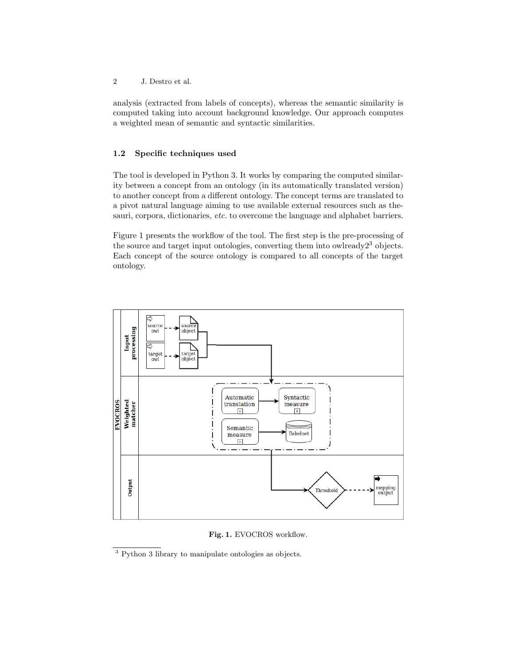2 J. Destro et al.

analysis (extracted from labels of concepts), whereas the semantic similarity is computed taking into account background knowledge. Our approach computes a weighted mean of semantic and syntactic similarities.

# 1.2 Specific techniques used

The tool is developed in Python 3. It works by comparing the computed similarity between a concept from an ontology (in its automatically translated version) to another concept from a different ontology. The concept terms are translated to a pivot natural language aiming to use available external resources such as thesauri, corpora, dictionaries, etc. to overcome the language and alphabet barriers.

Figure 1 presents the workflow of the tool. The first step is the pre-processing of the source and target input ontologies, converting them into owlready $2<sup>3</sup>$  objects. Each concept of the source ontology is compared to all concepts of the target ontology.



Fig. 1. EVOCROS workflow.

<sup>3</sup> Python 3 library to manipulate ontologies as objects.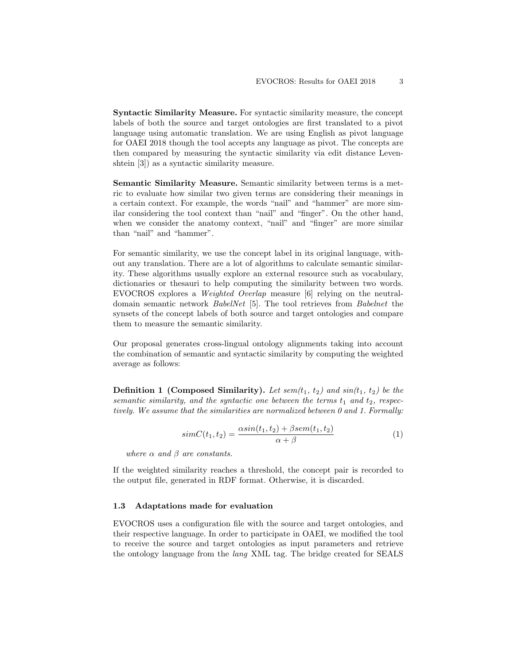Syntactic Similarity Measure. For syntactic similarity measure, the concept labels of both the source and target ontologies are first translated to a pivot language using automatic translation. We are using English as pivot language for OAEI 2018 though the tool accepts any language as pivot. The concepts are then compared by measuring the syntactic similarity via edit distance Levenshtein [3]) as a syntactic similarity measure.

Semantic Similarity Measure. Semantic similarity between terms is a metric to evaluate how similar two given terms are considering their meanings in a certain context. For example, the words "nail" and "hammer" are more similar considering the tool context than "nail" and "finger". On the other hand, when we consider the anatomy context, "nail" and "finger" are more similar than "nail" and "hammer".

For semantic similarity, we use the concept label in its original language, without any translation. There are a lot of algorithms to calculate semantic similarity. These algorithms usually explore an external resource such as vocabulary, dictionaries or thesauri to help computing the similarity between two words. EVOCROS explores a Weighted Overlap measure [6] relying on the neutraldomain semantic network BabelNet [5]. The tool retrieves from Babelnet the synsets of the concept labels of both source and target ontologies and compare them to measure the semantic similarity.

Our proposal generates cross-lingual ontology alignments taking into account the combination of semantic and syntactic similarity by computing the weighted average as follows:

**Definition 1 (Composed Similarity).** Let sem $(t_1, t_2)$  and sin $(t_1, t_2)$  be the semantic similarity, and the syntactic one between the terms  $t_1$  and  $t_2$ , respectively. We assume that the similarities are normalized between 0 and 1. Formally:

$$
simC(t_1, t_2) = \frac{\alpha sin(t_1, t_2) + \beta sem(t_1, t_2)}{\alpha + \beta} \tag{1}
$$

where  $\alpha$  and  $\beta$  are constants.

If the weighted similarity reaches a threshold, the concept pair is recorded to the output file, generated in RDF format. Otherwise, it is discarded.

#### 1.3 Adaptations made for evaluation

EVOCROS uses a configuration file with the source and target ontologies, and their respective language. In order to participate in OAEI, we modified the tool to receive the source and target ontologies as input parameters and retrieve the ontology language from the lang XML tag. The bridge created for SEALS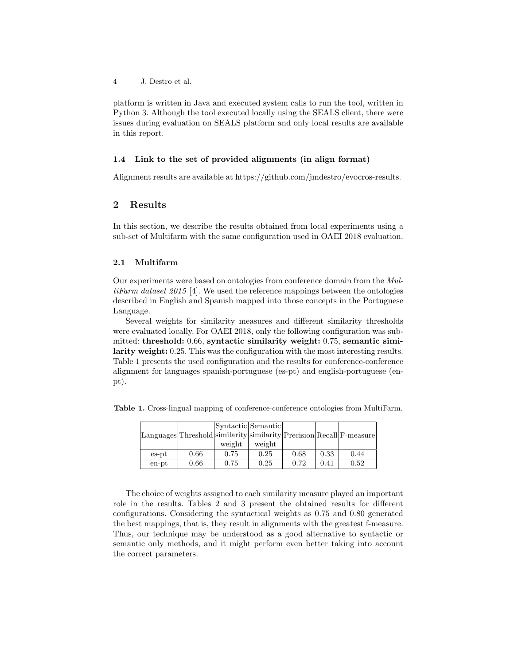4 J. Destro et al.

platform is written in Java and executed system calls to run the tool, written in Python 3. Although the tool executed locally using the SEALS client, there were issues during evaluation on SEALS platform and only local results are available in this report.

### 1.4 Link to the set of provided alignments (in align format)

Alignment results are available at https://github.com/jmdestro/evocros-results.

## 2 Results

In this section, we describe the results obtained from local experiments using a sub-set of Multifarm with the same configuration used in OAEI 2018 evaluation.

### 2.1 Multifarm

Our experiments were based on ontologies from conference domain from the MultiFarm dataset 2015 [4]. We used the reference mappings between the ontologies described in English and Spanish mapped into those concepts in the Portuguese Language.

Several weights for similarity measures and different similarity thresholds were evaluated locally. For OAEI 2018, only the following configuration was submitted: threshold: 0.66, syntactic similarity weight: 0.75, semantic similarity weight: 0.25. This was the configuration with the most interesting results. Table 1 presents the used configuration and the results for conference-conference alignment for languages spanish-portuguese (es-pt) and english-portuguese (enpt).

|             |      |        | Syntactic Semantic |      |      | Languages Threshold similarity similarity Precision Recall F-measure |
|-------------|------|--------|--------------------|------|------|----------------------------------------------------------------------|
|             |      |        |                    |      |      |                                                                      |
|             |      | weight | weight             |      |      |                                                                      |
| $es$ - $pt$ | 0.66 | 0.75   | 0.25               | 0.68 | 0.33 | 0.44                                                                 |
| en-pt       | 0.66 | 0.75   | 0.25               | 0.72 | 0.41 | 0.52                                                                 |

Table 1. Cross-lingual mapping of conference-conference ontologies from MultiFarm.

The choice of weights assigned to each similarity measure played an important role in the results. Tables 2 and 3 present the obtained results for different configurations. Considering the syntactical weights as 0.75 and 0.80 generated the best mappings, that is, they result in alignments with the greatest f-measure. Thus, our technique may be understood as a good alternative to syntactic or semantic only methods, and it might perform even better taking into account the correct parameters.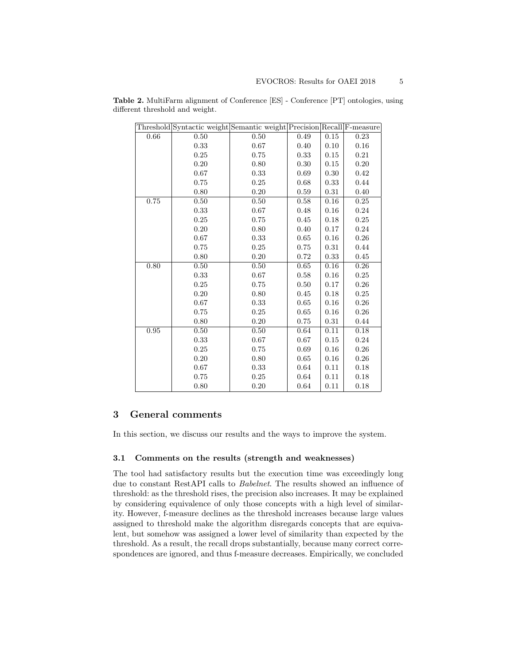|      | Threshold Syntactic weight Semantic weight Precision Recall F-measure |      |      |      |      |
|------|-----------------------------------------------------------------------|------|------|------|------|
| 0.66 | 0.50                                                                  | 0.50 | 0.49 | 0.15 | 0.23 |
|      | 0.33                                                                  | 0.67 | 0.40 | 0.10 | 0.16 |
|      | 0.25                                                                  | 0.75 | 0.33 | 0.15 | 0.21 |
|      | 0.20                                                                  | 0.80 | 0.30 | 0.15 | 0.20 |
|      | 0.67                                                                  | 0.33 | 0.69 | 0.30 | 0.42 |
|      | 0.75                                                                  | 0.25 | 0.68 | 0.33 | 0.44 |
|      | 0.80                                                                  | 0.20 | 0.59 | 0.31 | 0.40 |
| 0.75 | 0.50                                                                  | 0.50 | 0.58 | 0.16 | 0.25 |
|      | 0.33                                                                  | 0.67 | 0.48 | 0.16 | 0.24 |
|      | 0.25                                                                  | 0.75 | 0.45 | 0.18 | 0.25 |
|      | 0.20                                                                  | 0.80 | 0.40 | 0.17 | 0.24 |
|      | 0.67                                                                  | 0.33 | 0.65 | 0.16 | 0.26 |
|      | 0.75                                                                  | 0.25 | 0.75 | 0.31 | 0.44 |
|      | 0.80                                                                  | 0.20 | 0.72 | 0.33 | 0.45 |
| 0.80 | 0.50                                                                  | 0.50 | 0.65 | 0.16 | 0.26 |
|      | 0.33                                                                  | 0.67 | 0.58 | 0.16 | 0.25 |
|      | 0.25                                                                  | 0.75 | 0.50 | 0.17 | 0.26 |
|      | 0.20                                                                  | 0.80 | 0.45 | 0.18 | 0.25 |
|      | 0.67                                                                  | 0.33 | 0.65 | 0.16 | 0.26 |
|      | 0.75                                                                  | 0.25 | 0.65 | 0.16 | 0.26 |
|      | 0.80                                                                  | 0.20 | 0.75 | 0.31 | 0.44 |
| 0.95 | 0.50                                                                  | 0.50 | 0.64 | 0.11 | 0.18 |
|      | 0.33                                                                  | 0.67 | 0.67 | 0.15 | 0.24 |
|      | 0.25                                                                  | 0.75 | 0.69 | 0.16 | 0.26 |
|      | 0.20                                                                  | 0.80 | 0.65 | 0.16 | 0.26 |
|      | 0.67                                                                  | 0.33 | 0.64 | 0.11 | 0.18 |
|      | 0.75                                                                  | 0.25 | 0.64 | 0.11 | 0.18 |
|      | 0.80                                                                  | 0.20 | 0.64 | 0.11 | 0.18 |

Table 2. MultiFarm alignment of Conference [ES] - Conference [PT] ontologies, using different threshold and weight.

# 3 General comments

In this section, we discuss our results and the ways to improve the system.

### 3.1 Comments on the results (strength and weaknesses)

The tool had satisfactory results but the execution time was exceedingly long due to constant RestAPI calls to Babelnet. The results showed an influence of threshold: as the threshold rises, the precision also increases. It may be explained by considering equivalence of only those concepts with a high level of similarity. However, f-measure declines as the threshold increases because large values assigned to threshold make the algorithm disregards concepts that are equivalent, but somehow was assigned a lower level of similarity than expected by the threshold. As a result, the recall drops substantially, because many correct correspondences are ignored, and thus f-measure decreases. Empirically, we concluded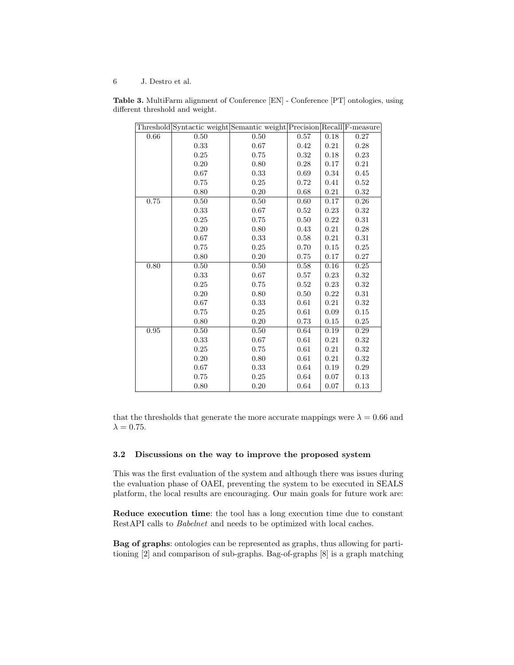6 J. Destro et al.

Table 3. MultiFarm alignment of Conference [EN] - Conference [PT] ontologies, using different threshold and weight.

|      | Threshold Syntactic weight Semantic weight Precision Recall F-measure |          |          |        |      |
|------|-----------------------------------------------------------------------|----------|----------|--------|------|
| 0.66 | $0.50\,$                                                              | $0.50\,$ | 0.57     | $0.18$ | 0.27 |
|      | 0.33                                                                  | 0.67     | 0.42     | 0.21   | 0.28 |
|      | 0.25                                                                  | 0.75     | 0.32     | 0.18   | 0.23 |
|      | 0.20                                                                  | 0.80     | $0.28\,$ | 0.17   | 0.21 |
|      | 0.67                                                                  | 0.33     | 0.69     | 0.34   | 0.45 |
|      | 0.75                                                                  | 0.25     | 0.72     | 0.41   | 0.52 |
|      | 0.80                                                                  | 0.20     | 0.68     | 0.21   | 0.32 |
| 0.75 | 0.50                                                                  | $0.50\,$ | 0.60     | 0.17   | 0.26 |
|      | 0.33                                                                  | 0.67     | 0.52     | 0.23   | 0.32 |
|      | 0.25                                                                  | 0.75     | 0.50     | 0.22   | 0.31 |
|      | 0.20                                                                  | 0.80     | 0.43     | 0.21   | 0.28 |
|      | 0.67                                                                  | 0.33     | 0.58     | 0.21   | 0.31 |
|      | 0.75                                                                  | 0.25     | 0.70     | 0.15   | 0.25 |
|      | 0.80                                                                  | 0.20     | 0.75     | 0.17   | 0.27 |
| 0.80 | 0.50                                                                  | 0.50     | 0.58     | 0.16   | 0.25 |
|      | 0.33                                                                  | 0.67     | 0.57     | 0.23   | 0.32 |
|      | $0.25\,$                                                              | 0.75     | 0.52     | 0.23   | 0.32 |
|      | 0.20                                                                  | 0.80     | 0.50     | 0.22   | 0.31 |
|      | 0.67                                                                  | 0.33     | 0.61     | 0.21   | 0.32 |
|      | 0.75                                                                  | 0.25     | 0.61     | 0.09   | 0.15 |
|      | 0.80                                                                  | 0.20     | 0.73     | 0.15   | 0.25 |
| 0.95 | 0.50                                                                  | 0.50     | 0.64     | 0.19   | 0.29 |
|      | 0.33                                                                  | 0.67     | 0.61     | 0.21   | 0.32 |
|      | $0.25\,$                                                              | 0.75     | 0.61     | 0.21   | 0.32 |
|      | 0.20                                                                  | 0.80     | 0.61     | 0.21   | 0.32 |
|      | 0.67                                                                  | 0.33     | 0.64     | 0.19   | 0.29 |
|      | 0.75                                                                  | 0.25     | 0.64     | 0.07   | 0.13 |
|      | 0.80                                                                  | 0.20     | 0.64     | 0.07   | 0.13 |

that the thresholds that generate the more accurate mappings were  $\lambda = 0.66$  and  $\lambda = 0.75$ .

### 3.2 Discussions on the way to improve the proposed system

This was the first evaluation of the system and although there was issues during the evaluation phase of OAEI, preventing the system to be executed in SEALS platform, the local results are encouraging. Our main goals for future work are:

Reduce execution time: the tool has a long execution time due to constant RestAPI calls to Babelnet and needs to be optimized with local caches.

Bag of graphs: ontologies can be represented as graphs, thus allowing for partitioning [2] and comparison of sub-graphs. Bag-of-graphs [8] is a graph matching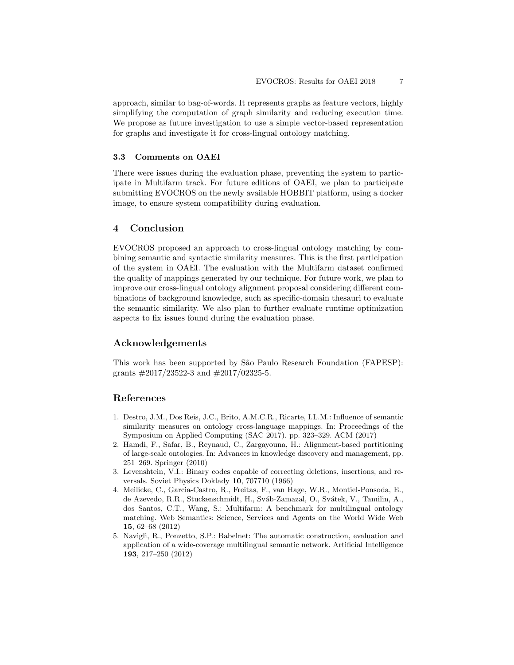approach, similar to bag-of-words. It represents graphs as feature vectors, highly simplifying the computation of graph similarity and reducing execution time. We propose as future investigation to use a simple vector-based representation for graphs and investigate it for cross-lingual ontology matching.

### 3.3 Comments on OAEI

There were issues during the evaluation phase, preventing the system to participate in Multifarm track. For future editions of OAEI, we plan to participate submitting EVOCROS on the newly available HOBBIT platform, using a docker image, to ensure system compatibility during evaluation.

# 4 Conclusion

EVOCROS proposed an approach to cross-lingual ontology matching by combining semantic and syntactic similarity measures. This is the first participation of the system in OAEI. The evaluation with the Multifarm dataset confirmed the quality of mappings generated by our technique. For future work, we plan to improve our cross-lingual ontology alignment proposal considering different combinations of background knowledge, such as specific-domain thesauri to evaluate the semantic similarity. We also plan to further evaluate runtime optimization aspects to fix issues found during the evaluation phase.

## Acknowledgements

This work has been supported by São Paulo Research Foundation (FAPESP): grants #2017/23522-3 and #2017/02325-5.

### References

- 1. Destro, J.M., Dos Reis, J.C., Brito, A.M.C.R., Ricarte, I.L.M.: Influence of semantic similarity measures on ontology cross-language mappings. In: Proceedings of the Symposium on Applied Computing (SAC 2017). pp. 323–329. ACM (2017)
- 2. Hamdi, F., Safar, B., Reynaud, C., Zargayouna, H.: Alignment-based partitioning of large-scale ontologies. In: Advances in knowledge discovery and management, pp. 251–269. Springer (2010)
- 3. Levenshtein, V.I.: Binary codes capable of correcting deletions, insertions, and reversals. Soviet Physics Doklady 10, 707710 (1966)
- 4. Meilicke, C., Garcia-Castro, R., Freitas, F., van Hage, W.R., Montiel-Ponsoda, E., de Azevedo, R.R., Stuckenschmidt, H., Sváb-Zamazal, O., Svátek, V., Tamilin, A., dos Santos, C.T., Wang, S.: Multifarm: A benchmark for multilingual ontology matching. Web Semantics: Science, Services and Agents on the World Wide Web 15, 62–68 (2012)
- 5. Navigli, R., Ponzetto, S.P.: Babelnet: The automatic construction, evaluation and application of a wide-coverage multilingual semantic network. Artificial Intelligence 193, 217–250 (2012)